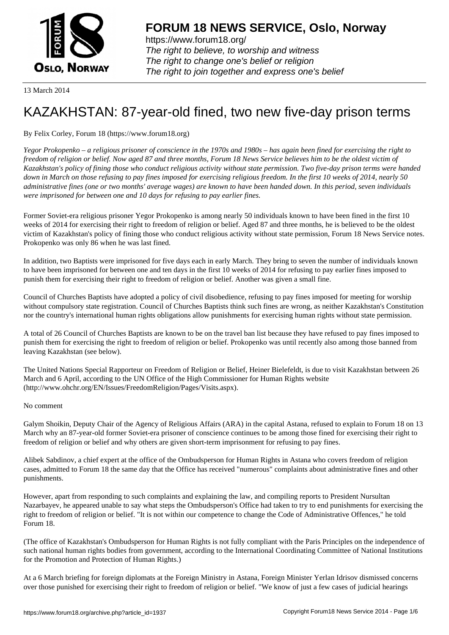

https://www.forum18.org/ The right to believe, to worship and witness The right to change one's belief or religion [The right to join together a](https://www.forum18.org/)nd express one's belief

13 March 2014

## [KAZAKHSTAN:](https://www.forum18.org) 87-year-old fined, two new five-day prison terms

## By Felix Corley, Forum 18 (https://www.forum18.org)

*Yegor Prokopenko – a religious prisoner of conscience in the 1970s and 1980s – has again been fined for exercising the right to freedom of religion or belief. Now aged 87 and three months, Forum 18 News Service believes him to be the oldest victim of Kazakhstan's policy of fining those who conduct religious activity without state permission. Two five-day prison terms were handed down in March on those refusing to pay fines imposed for exercising religious freedom. In the first 10 weeks of 2014, nearly 50 administrative fines (one or two months' average wages) are known to have been handed down. In this period, seven individuals were imprisoned for between one and 10 days for refusing to pay earlier fines.*

Former Soviet-era religious prisoner Yegor Prokopenko is among nearly 50 individuals known to have been fined in the first 10 weeks of 2014 for exercising their right to freedom of religion or belief. Aged 87 and three months, he is believed to be the oldest victim of Kazakhstan's policy of fining those who conduct religious activity without state permission, Forum 18 News Service notes. Prokopenko was only 86 when he was last fined.

In addition, two Baptists were imprisoned for five days each in early March. They bring to seven the number of individuals known to have been imprisoned for between one and ten days in the first 10 weeks of 2014 for refusing to pay earlier fines imposed to punish them for exercising their right to freedom of religion or belief. Another was given a small fine.

Council of Churches Baptists have adopted a policy of civil disobedience, refusing to pay fines imposed for meeting for worship without compulsory state registration. Council of Churches Baptists think such fines are wrong, as neither Kazakhstan's Constitution nor the country's international human rights obligations allow punishments for exercising human rights without state permission.

A total of 26 Council of Churches Baptists are known to be on the travel ban list because they have refused to pay fines imposed to punish them for exercising the right to freedom of religion or belief. Prokopenko was until recently also among those banned from leaving Kazakhstan (see below).

The United Nations Special Rapporteur on Freedom of Religion or Belief, Heiner Bielefeldt, is due to visit Kazakhstan between 26 March and 6 April, according to the UN Office of the High Commissioner for Human Rights website (http://www.ohchr.org/EN/Issues/FreedomReligion/Pages/Visits.aspx).

## No comment

Galym Shoikin, Deputy Chair of the Agency of Religious Affairs (ARA) in the capital Astana, refused to explain to Forum 18 on 13 March why an 87-year-old former Soviet-era prisoner of conscience continues to be among those fined for exercising their right to freedom of religion or belief and why others are given short-term imprisonment for refusing to pay fines.

Alibek Sabdinov, a chief expert at the office of the Ombudsperson for Human Rights in Astana who covers freedom of religion cases, admitted to Forum 18 the same day that the Office has received "numerous" complaints about administrative fines and other punishments.

However, apart from responding to such complaints and explaining the law, and compiling reports to President Nursultan Nazarbayev, he appeared unable to say what steps the Ombudsperson's Office had taken to try to end punishments for exercising the right to freedom of religion or belief. "It is not within our competence to change the Code of Administrative Offences," he told Forum 18.

(The office of Kazakhstan's Ombudsperson for Human Rights is not fully compliant with the Paris Principles on the independence of such national human rights bodies from government, according to the International Coordinating Committee of National Institutions for the Promotion and Protection of Human Rights.)

At a 6 March briefing for foreign diplomats at the Foreign Ministry in Astana, Foreign Minister Yerlan Idrisov dismissed concerns over those punished for exercising their right to freedom of religion or belief. "We know of just a few cases of judicial hearings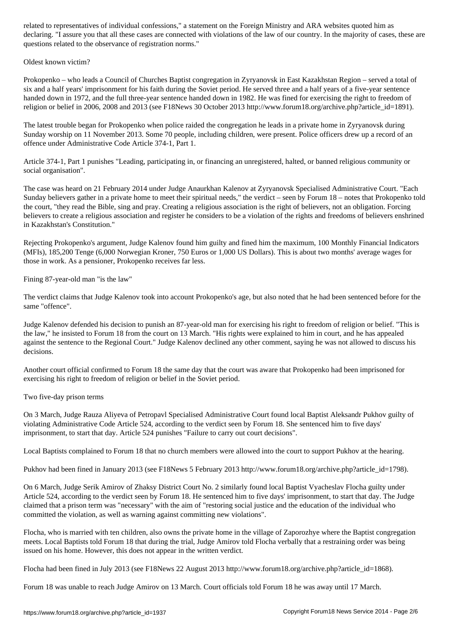declaring. "I assure you that all these cases are connected with violations of the law of our country. In the majority of cases, these are questions related to the observance of registration norms."

Oldest known victim?

Prokopenko – who leads a Council of Churches Baptist congregation in Zyryanovsk in East Kazakhstan Region – served a total of six and a half years' imprisonment for his faith during the Soviet period. He served three and a half years of a five-year sentence handed down in 1972, and the full three-year sentence handed down in 1982. He was fined for exercising the right to freedom of religion or belief in 2006, 2008 and 2013 (see F18News 30 October 2013 http://www.forum18.org/archive.php?article\_id=1891).

The latest trouble began for Prokopenko when police raided the congregation he leads in a private home in Zyryanovsk during Sunday worship on 11 November 2013. Some 70 people, including children, were present. Police officers drew up a record of an offence under Administrative Code Article 374-1, Part 1.

Article 374-1, Part 1 punishes "Leading, participating in, or financing an unregistered, halted, or banned religious community or social organisation".

The case was heard on 21 February 2014 under Judge Anaurkhan Kalenov at Zyryanovsk Specialised Administrative Court. "Each Sunday believers gather in a private home to meet their spiritual needs," the verdict – seen by Forum 18 – notes that Prokopenko told the court, "they read the Bible, sing and pray. Creating a religious association is the right of believers, not an obligation. Forcing believers to create a religious association and register he considers to be a violation of the rights and freedoms of believers enshrined in Kazakhstan's Constitution."

Rejecting Prokopenko's argument, Judge Kalenov found him guilty and fined him the maximum, 100 Monthly Financial Indicators (MFIs), 185,200 Tenge (6,000 Norwegian Kroner, 750 Euros or 1,000 US Dollars). This is about two months' average wages for those in work. As a pensioner, Prokopenko receives far less.

Fining 87-year-old man "is the law"

The verdict claims that Judge Kalenov took into account Prokopenko's age, but also noted that he had been sentenced before for the same "offence".

Judge Kalenov defended his decision to punish an 87-year-old man for exercising his right to freedom of religion or belief. "This is the law," he insisted to Forum 18 from the court on 13 March. "His rights were explained to him in court, and he has appealed against the sentence to the Regional Court." Judge Kalenov declined any other comment, saying he was not allowed to discuss his decisions.

Another court official confirmed to Forum 18 the same day that the court was aware that Prokopenko had been imprisoned for exercising his right to freedom of religion or belief in the Soviet period.

Two five-day prison terms

On 3 March, Judge Rauza Aliyeva of Petropavl Specialised Administrative Court found local Baptist Aleksandr Pukhov guilty of violating Administrative Code Article 524, according to the verdict seen by Forum 18. She sentenced him to five days' imprisonment, to start that day. Article 524 punishes "Failure to carry out court decisions".

Local Baptists complained to Forum 18 that no church members were allowed into the court to support Pukhov at the hearing.

Pukhov had been fined in January 2013 (see F18News 5 February 2013 http://www.forum18.org/archive.php?article\_id=1798).

On 6 March, Judge Serik Amirov of Zhaksy District Court No. 2 similarly found local Baptist Vyacheslav Flocha guilty under Article 524, according to the verdict seen by Forum 18. He sentenced him to five days' imprisonment, to start that day. The Judge claimed that a prison term was "necessary" with the aim of "restoring social justice and the education of the individual who committed the violation, as well as warning against committing new violations".

Flocha, who is married with ten children, also owns the private home in the village of Zaporozhye where the Baptist congregation meets. Local Baptists told Forum 18 that during the trial, Judge Amirov told Flocha verbally that a restraining order was being issued on his home. However, this does not appear in the written verdict.

Flocha had been fined in July 2013 (see F18News 22 August 2013 http://www.forum18.org/archive.php?article\_id=1868).

Forum 18 was unable to reach Judge Amirov on 13 March. Court officials told Forum 18 he was away until 17 March.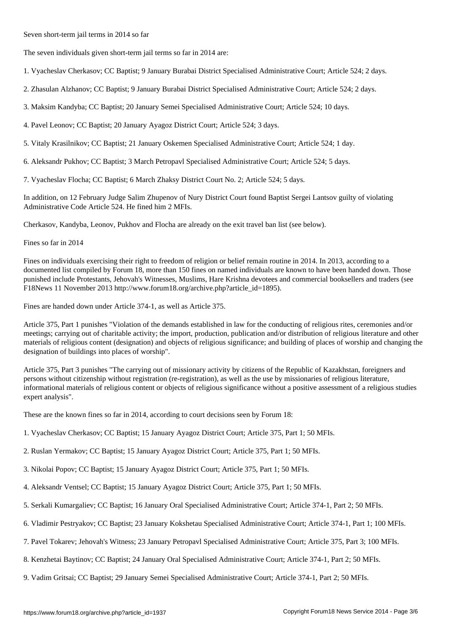The seven individuals given short-term jail terms so far in 2014 are:

Seven short-term jail terms in 2014 so far

- 1. Vyacheslav Cherkasov; CC Baptist; 9 January Burabai District Specialised Administrative Court; Article 524; 2 days.
- 2. Zhasulan Alzhanov; CC Baptist; 9 January Burabai District Specialised Administrative Court; Article 524; 2 days.
- 3. Maksim Kandyba; CC Baptist; 20 January Semei Specialised Administrative Court; Article 524; 10 days.
- 4. Pavel Leonov; CC Baptist; 20 January Ayagoz District Court; Article 524; 3 days.
- 5. Vitaly Krasilnikov; CC Baptist; 21 January Oskemen Specialised Administrative Court; Article 524; 1 day.

6. Aleksandr Pukhov; CC Baptist; 3 March Petropavl Specialised Administrative Court; Article 524; 5 days.

7. Vyacheslav Flocha; CC Baptist; 6 March Zhaksy District Court No. 2; Article 524; 5 days.

In addition, on 12 February Judge Salim Zhupenov of Nury District Court found Baptist Sergei Lantsov guilty of violating Administrative Code Article 524. He fined him 2 MFIs.

Cherkasov, Kandyba, Leonov, Pukhov and Flocha are already on the exit travel ban list (see below).

Fines so far in 2014

Fines on individuals exercising their right to freedom of religion or belief remain routine in 2014. In 2013, according to a documented list compiled by Forum 18, more than 150 fines on named individuals are known to have been handed down. Those punished include Protestants, Jehovah's Witnesses, Muslims, Hare Krishna devotees and commercial booksellers and traders (see F18News 11 November 2013 http://www.forum18.org/archive.php?article\_id=1895).

Fines are handed down under Article 374-1, as well as Article 375.

Article 375, Part 1 punishes "Violation of the demands established in law for the conducting of religious rites, ceremonies and/or meetings; carrying out of charitable activity; the import, production, publication and/or distribution of religious literature and other materials of religious content (designation) and objects of religious significance; and building of places of worship and changing the designation of buildings into places of worship".

Article 375, Part 3 punishes "The carrying out of missionary activity by citizens of the Republic of Kazakhstan, foreigners and persons without citizenship without registration (re-registration), as well as the use by missionaries of religious literature, informational materials of religious content or objects of religious significance without a positive assessment of a religious studies expert analysis".

These are the known fines so far in 2014, according to court decisions seen by Forum 18:

- 1. Vyacheslav Cherkasov; CC Baptist; 15 January Ayagoz District Court; Article 375, Part 1; 50 MFIs.
- 2. Ruslan Yermakov; CC Baptist; 15 January Ayagoz District Court; Article 375, Part 1; 50 MFIs.
- 3. Nikolai Popov; CC Baptist; 15 January Ayagoz District Court; Article 375, Part 1; 50 MFIs.
- 4. Aleksandr Ventsel; CC Baptist; 15 January Ayagoz District Court; Article 375, Part 1; 50 MFIs.
- 5. Serkali Kumargaliev; CC Baptist; 16 January Oral Specialised Administrative Court; Article 374-1, Part 2; 50 MFIs.
- 6. Vladimir Pestryakov; CC Baptist; 23 January Kokshetau Specialised Administrative Court; Article 374-1, Part 1; 100 MFIs.
- 7. Pavel Tokarev; Jehovah's Witness; 23 January Petropavl Specialised Administrative Court; Article 375, Part 3; 100 MFIs.
- 8. Kenzhetai Baytinov; CC Baptist; 24 January Oral Specialised Administrative Court; Article 374-1, Part 2; 50 MFIs.
- 9. Vadim Gritsai; CC Baptist; 29 January Semei Specialised Administrative Court; Article 374-1, Part 2; 50 MFIs.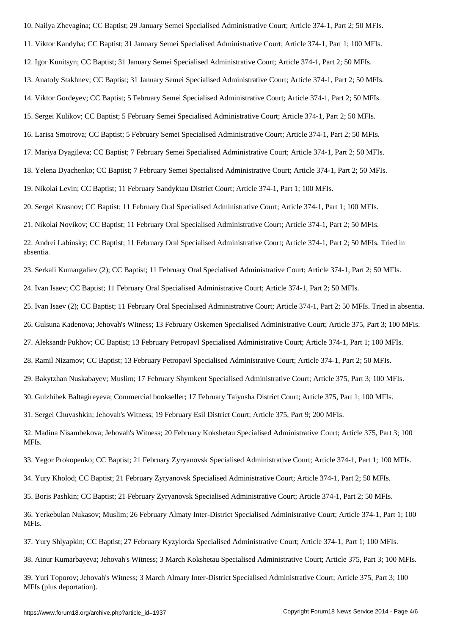11. Viktor Kandyba; CC Baptist; 31 January Semei Specialised Administrative Court; Article 374-1, Part 1; 100 MFIs.

12. Igor Kunitsyn; CC Baptist; 31 January Semei Specialised Administrative Court; Article 374-1, Part 2; 50 MFIs.

13. Anatoly Stakhnev; CC Baptist; 31 January Semei Specialised Administrative Court; Article 374-1, Part 2; 50 MFIs.

14. Viktor Gordeyev; CC Baptist; 5 February Semei Specialised Administrative Court; Article 374-1, Part 2; 50 MFIs.

15. Sergei Kulikov; CC Baptist; 5 February Semei Specialised Administrative Court; Article 374-1, Part 2; 50 MFIs.

16. Larisa Smotrova; CC Baptist; 5 February Semei Specialised Administrative Court; Article 374-1, Part 2; 50 MFIs.

17. Mariya Dyagileva; CC Baptist; 7 February Semei Specialised Administrative Court; Article 374-1, Part 2; 50 MFIs.

18. Yelena Dyachenko; CC Baptist; 7 February Semei Specialised Administrative Court; Article 374-1, Part 2; 50 MFIs.

19. Nikolai Levin; CC Baptist; 11 February Sandyktau District Court; Article 374-1, Part 1; 100 MFIs.

20. Sergei Krasnov; CC Baptist; 11 February Oral Specialised Administrative Court; Article 374-1, Part 1; 100 MFIs.

21. Nikolai Novikov; CC Baptist; 11 February Oral Specialised Administrative Court; Article 374-1, Part 2; 50 MFIs.

22. Andrei Labinsky; CC Baptist; 11 February Oral Specialised Administrative Court; Article 374-1, Part 2; 50 MFIs. Tried in absentia.

23. Serkali Kumargaliev (2); CC Baptist; 11 February Oral Specialised Administrative Court; Article 374-1, Part 2; 50 MFIs.

24. Ivan Isaev; CC Baptist; 11 February Oral Specialised Administrative Court; Article 374-1, Part 2; 50 MFIs.

25. Ivan Isaev (2); CC Baptist; 11 February Oral Specialised Administrative Court; Article 374-1, Part 2; 50 MFIs. Tried in absentia.

26. Gulsuna Kadenova; Jehovah's Witness; 13 February Oskemen Specialised Administrative Court; Article 375, Part 3; 100 MFIs.

27. Aleksandr Pukhov; CC Baptist; 13 February Petropavl Specialised Administrative Court; Article 374-1, Part 1; 100 MFIs.

28. Ramil Nizamov; CC Baptist; 13 February Petropavl Specialised Administrative Court; Article 374-1, Part 2; 50 MFIs.

29. Bakytzhan Nuskabayev; Muslim; 17 February Shymkent Specialised Administrative Court; Article 375, Part 3; 100 MFIs.

30. Gulzhibek Baltagireyeva; Commercial bookseller; 17 February Taiynsha District Court; Article 375, Part 1; 100 MFIs.

31. Sergei Chuvashkin; Jehovah's Witness; 19 February Esil District Court; Article 375, Part 9; 200 MFIs.

32. Madina Nisambekova; Jehovah's Witness; 20 February Kokshetau Specialised Administrative Court; Article 375, Part 3; 100 MFIs.

33. Yegor Prokopenko; CC Baptist; 21 February Zyryanovsk Specialised Administrative Court; Article 374-1, Part 1; 100 MFIs.

34. Yury Kholod; CC Baptist; 21 February Zyryanovsk Specialised Administrative Court; Article 374-1, Part 2; 50 MFIs.

35. Boris Pashkin; CC Baptist; 21 February Zyryanovsk Specialised Administrative Court; Article 374-1, Part 2; 50 MFIs.

36. Yerkebulan Nukasov; Muslim; 26 February Almaty Inter-District Specialised Administrative Court; Article 374-1, Part 1; 100 MFIs.

37. Yury Shlyapkin; CC Baptist; 27 February Kyzylorda Specialised Administrative Court; Article 374-1, Part 1; 100 MFIs.

38. Ainur Kumarbayeva; Jehovah's Witness; 3 March Kokshetau Specialised Administrative Court; Article 375, Part 3; 100 MFIs.

39. Yuri Toporov; Jehovah's Witness; 3 March Almaty Inter-District Specialised Administrative Court; Article 375, Part 3; 100 MFIs (plus deportation).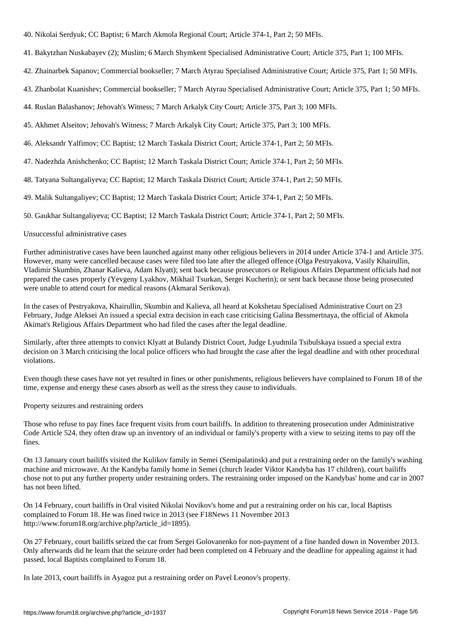40. Nikolai Serdyuk; CC Baptist; 6 March Akmola Regional Court; Article 374-1, Part 2; 50 MFIs.

- 41. Bakytzhan Nuskabayev (2); Muslim; 6 March Shymkent Specialised Administrative Court; Article 375, Part 1; 100 MFIs.
- 42. Zhainarbek Sapanov; Commercial bookseller; 7 March Atyrau Specialised Administrative Court; Article 375, Part 1; 50 MFIs.
- 43. Zhanbolat Kuanishev; Commercial bookseller; 7 March Atyrau Specialised Administrative Court; Article 375, Part 1; 50 MFIs.
- 44. Ruslan Balashanov; Jehovah's Witness; 7 March Arkalyk City Court; Article 375, Part 3; 100 MFIs.
- 45. Akhmet Alseitov; Jehovah's Witness; 7 March Arkalyk City Court; Article 375, Part 3; 100 MFIs.
- 46. Aleksandr Yalfimov; CC Baptist; 12 March Taskala District Court; Article 374-1, Part 2; 50 MFIs.
- 47. Nadezhda Anishchenko; CC Baptist; 12 March Taskala District Court; Article 374-1, Part 2; 50 MFIs.
- 48. Tatyana Sultangaliyeva; CC Baptist; 12 March Taskala District Court; Article 374-1, Part 2; 50 MFIs.
- 49. Malik Sultangaliyev; CC Baptist; 12 March Taskala District Court; Article 374-1, Part 2; 50 MFIs.
- 50. Gaukhar Sultangaliyeva; CC Baptist; 12 March Taskala District Court; Article 374-1, Part 2; 50 MFIs.

## Unsuccessful administrative cases

Further administrative cases have been launched against many other religious believers in 2014 under Article 374-1 and Article 375. However, many were cancelled because cases were filed too late after the alleged offence (Olga Pestryakova, Vasily Khairullin, Vladimir Skumbin, Zhanar Kalieva, Adam Klyatt); sent back because prosecutors or Religious Affairs Department officials had not prepared the cases properly (Yevgeny Lyakhov, Mikhail Tsurkan, Sergei Kucherin); or sent back because those being prosecuted were unable to attend court for medical reasons (Akmaral Serikova).

In the cases of Pestryakova, Khairullin, Skumbin and Kalieva, all heard at Kokshetau Specialised Administrative Court on 23 February, Judge Aleksei An issued a special extra decision in each case criticising Galina Bessmertnaya, the official of Akmola Akimat's Religious Affairs Department who had filed the cases after the legal deadline.

Similarly, after three attempts to convict Klyatt at Bulandy District Court, Judge Lyudmila Tsibulskaya issued a special extra decision on 3 March criticising the local police officers who had brought the case after the legal deadline and with other procedural violations.

Even though these cases have not yet resulted in fines or other punishments, religious believers have complained to Forum 18 of the time, expense and energy these cases absorb as well as the stress they cause to individuals.

Property seizures and restraining orders

Those who refuse to pay fines face frequent visits from court bailiffs. In addition to threatening prosecution under Administrative Code Article 524, they often draw up an inventory of an individual or family's property with a view to seizing items to pay off the fines.

On 13 January court bailiffs visited the Kulikov family in Semei (Semipalatinsk) and put a restraining order on the family's washing machine and microwave. At the Kandyba family home in Semei (church leader Viktor Kandyba has 17 children), court bailiffs chose not to put any further property under restraining orders. The restraining order imposed on the Kandybas' home and car in 2007 has not been lifted.

On 14 February, court bailiffs in Oral visited Nikolai Novikov's home and put a restraining order on his car, local Baptists complained to Forum 18. He was fined twice in 2013 (see F18News 11 November 2013 http://www.forum18.org/archive.php?article\_id=1895).

On 27 February, court bailiffs seized the car from Sergei Golovanenko for non-payment of a fine handed down in November 2013. Only afterwards did he learn that the seizure order had been completed on 4 February and the deadline for appealing against it had passed, local Baptists complained to Forum 18.

In late 2013, court bailiffs in Ayagoz put a restraining order on Pavel Leonov's property.